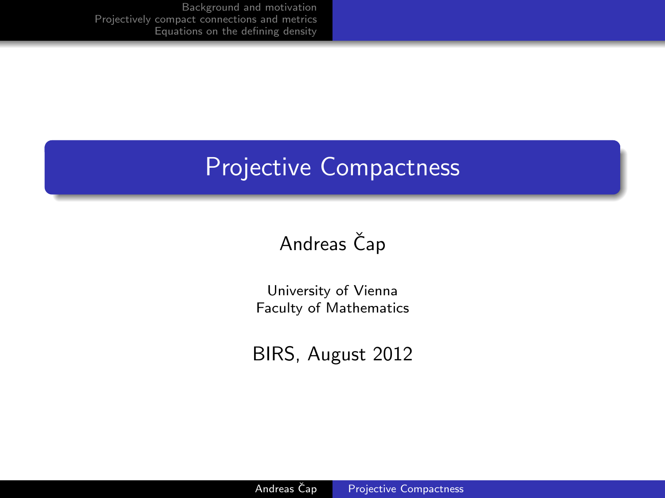[Background and motivation](#page-3-0) [Projectively compact connections and metrics](#page-6-0) [Equations on the defining density](#page-11-0)

#### Projective Compactness

### Andreas Čap

University of Vienna Faculty of Mathematics

<span id="page-0-0"></span>BIRS, August 2012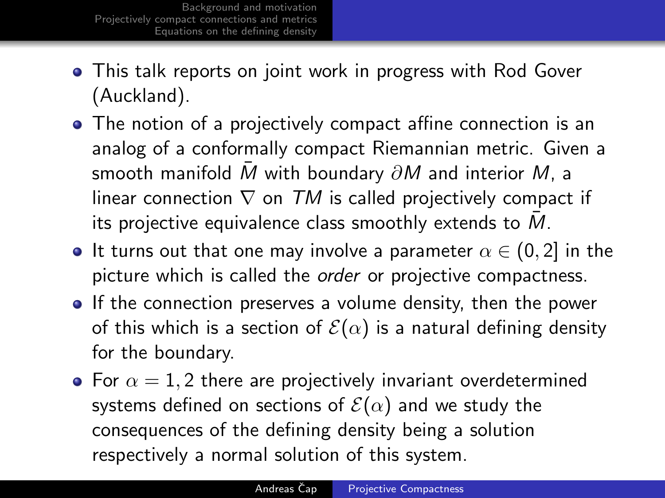- This talk reports on joint work in progress with Rod Gover (Auckland).
- The notion of a projectively compact affine connection is an analog of a conformally compact Riemannian metric. Given a smooth manifold M with boundary  $\partial M$  and interior M, a linear connection  $\nabla$  on TM is called projectively compact if its projective equivalence class smoothly extends to  $M$ .
- It turns out that one may involve a parameter  $\alpha \in (0, 2]$  in the picture which is called the *order* or projective compactness.
- If the connection preserves a volume density, then the power of this which is a section of  $\mathcal{E}(\alpha)$  is a natural defining density for the boundary.
- For  $\alpha = 1, 2$  there are projectively invariant overdetermined systems defined on sections of  $\mathcal{E}(\alpha)$  and we study the consequences of the defining density being a solution respectively a normal solution of this system.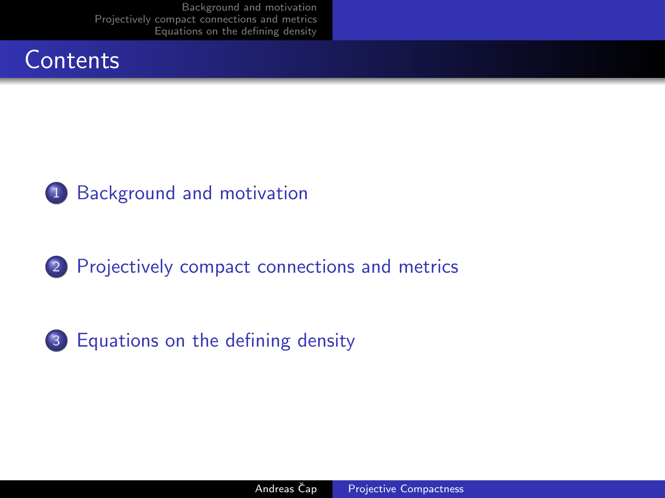[Background and motivation](#page-3-0) [Projectively compact connections and metrics](#page-6-0) [Equations on the defining density](#page-11-0)





2 [Projectively compact connections and metrics](#page-6-0)



3 [Equations on the defining density](#page-11-0)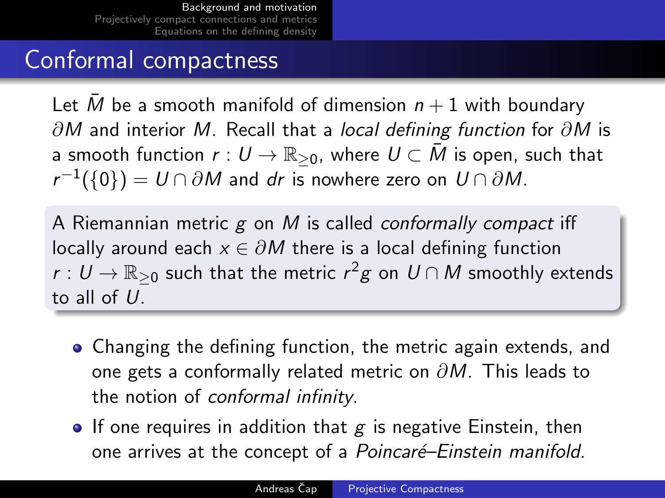### Conformal compactness

Let  $\overline{M}$  be a smooth manifold of dimension  $n + 1$  with boundary  $\partial M$  and interior M. Recall that a *local defining function* for  $\partial M$  is a smooth function  $r: U \to \mathbb{R}_{\geq 0}$ , where  $U \subset \overline{M}$  is open, such that  $r^{-1}(\{0\})=U\cap\partial M$  and  $dr$  is nowhere zero on  $U\cap\partial M.$ 

A Riemannian metric  $g$  on  $M$  is called conformally compact iff locally around each  $x \in \partial M$  there is a local defining function  $r:U\to\mathbb{R}_{\geq 0}$  such that the metric  $r^2g$  on  $U\cap M$  smoothly extends to all of  $U$ .

- Changing the defining function, the metric again extends, and one gets a conformally related metric on  $\partial M$ . This leads to the notion of conformal infinity.
- <span id="page-3-0"></span>• If one requires in addition that  $g$  is negative Einstein, then one arrives at the concept of a *Poincaré–Einstein manifold*.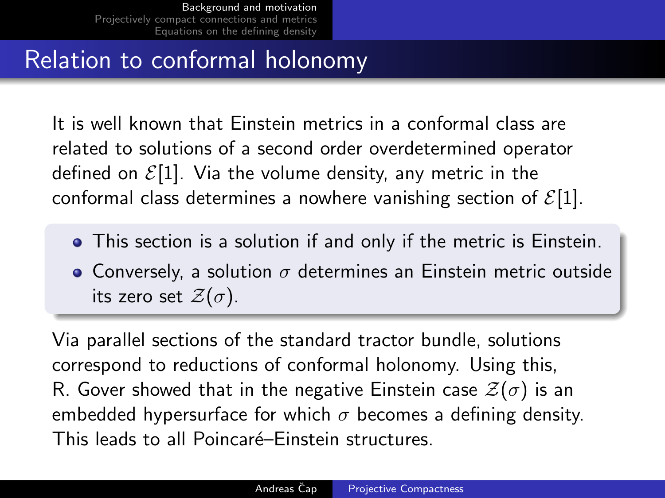## Relation to conformal holonomy

It is well known that Einstein metrics in a conformal class are related to solutions of a second order overdetermined operator defined on  $\mathcal{E}[1]$ . Via the volume density, any metric in the conformal class determines a nowhere vanishing section of  $\mathcal{E}[1]$ .

- This section is a solution if and only if the metric is Einstein.
- Conversely, a solution  $\sigma$  determines an Einstein metric outside its zero set  $\mathcal{Z}(\sigma)$ .

Via parallel sections of the standard tractor bundle, solutions correspond to reductions of conformal holonomy. Using this, R. Gover showed that in the negative Einstein case  $\mathcal{Z}(\sigma)$  is an embedded hypersurface for which  $\sigma$  becomes a defining density. This leads to all Poincaré–Einstein structures.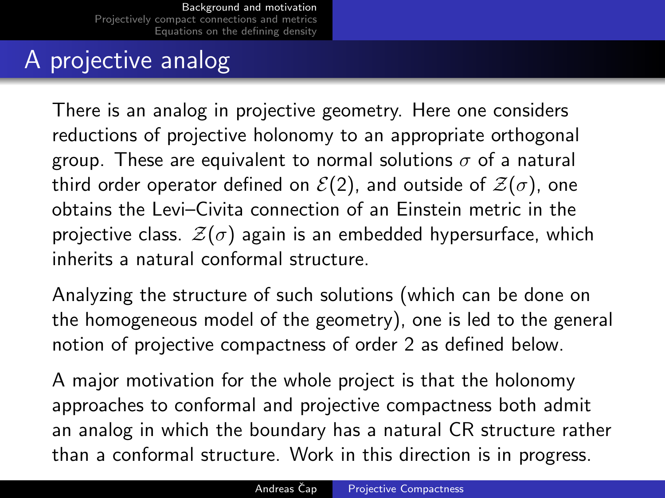# A projective analog

There is an analog in projective geometry. Here one considers reductions of projective holonomy to an appropriate orthogonal group. These are equivalent to normal solutions  $\sigma$  of a natural third order operator defined on  $\mathcal{E}(2)$ , and outside of  $\mathcal{Z}(\sigma)$ , one obtains the Levi–Civita connection of an Einstein metric in the projective class.  $\mathcal{Z}(\sigma)$  again is an embedded hypersurface, which inherits a natural conformal structure.

Analyzing the structure of such solutions (which can be done on the homogeneous model of the geometry), one is led to the general notion of projective compactness of order 2 as defined below.

A major motivation for the whole project is that the holonomy approaches to conformal and projective compactness both admit an analog in which the boundary has a natural CR structure rather than a conformal structure. Work in this direction is in progress.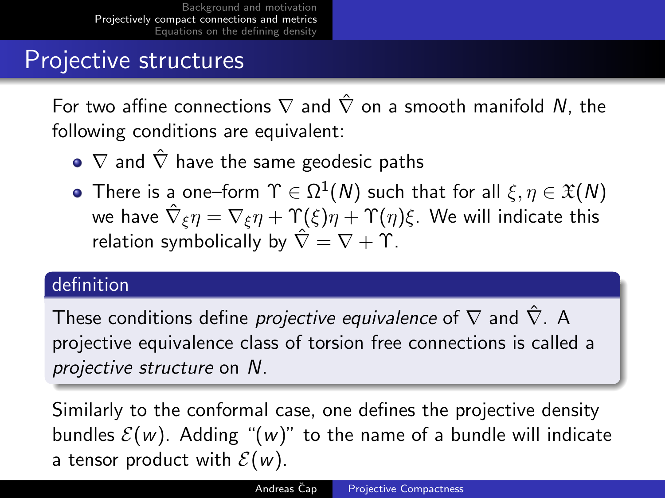### Projective structures

For two affine connections  $\nabla$  and  $\hat{\nabla}$  on a smooth manifold N, the following conditions are equivalent:

- $\bullet \nabla$  and  $\hat{\nabla}$  have the same geodesic paths
- There is a one–form  $\Upsilon \in \Omega^1(\mathcal{N})$  such that for all  $\xi, \eta \in \mathfrak{X}(\mathcal{N})$ we have  $\hat{\nabla}_{\xi}\eta=\nabla_{\xi}\eta+\Upsilon(\xi)\eta+\Upsilon(\eta)\xi.$  We will indicate this relation symbolically by  $\hat{\nabla} = \nabla + \Upsilon$ .

#### definition

These conditions define *projective equivalence* of  $\nabla$  and  $\hat{\nabla}$ . A projective equivalence class of torsion free connections is called a projective structure on N.

<span id="page-6-0"></span>Similarly to the conformal case, one defines the projective density bundles  $\mathcal{E}(w)$ . Adding " $(w)$ " to the name of a bundle will indicate a tensor product with  $\mathcal{E}(w)$ .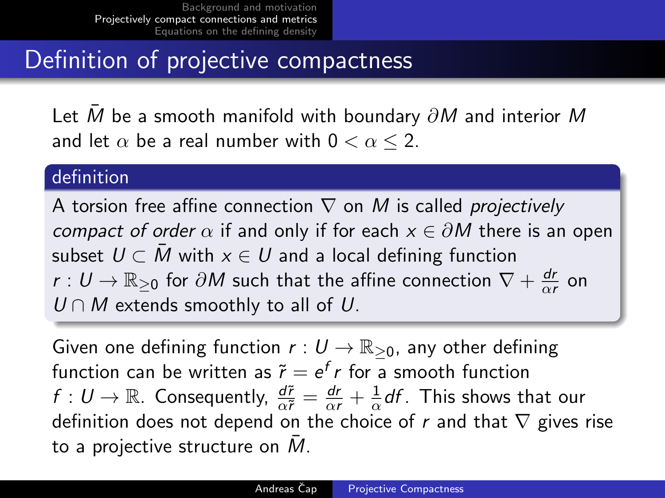## Definition of projective compactness

Let  $\overline{M}$  be a smooth manifold with boundary  $\partial M$  and interior M and let  $\alpha$  be a real number with  $0 < \alpha < 2$ .

#### definition

A torsion free affine connection  $\nabla$  on M is called *projectively* compact of order  $\alpha$  if and only if for each  $x \in \partial M$  there is an open subset  $U \subset M$  with  $x \in U$  and a local defining function  $r:U\rightarrow \mathbb{R}_{\geq 0}$  for  $\partial M$  such that the affine connection  $\nabla + \frac{dr}{\alpha d}$  $\frac{dr}{\alpha r}$  on  $U \cap M$  extends smoothly to all of U.

Given one defining function  $r: U \to \mathbb{R}_{\geq 0}$ , any other defining function can be written as  $\widetilde{r} = e^f r$  for a smooth function  $f: U \rightarrow \mathbb{R}$ . Consequently,  $\frac{d\tilde{r}}{\alpha \tilde{r}} = \frac{dr}{\alpha r} + \frac{1}{\alpha}$  $\frac{1}{\alpha}$ df . This shows that our definition does not depend on the choice of r and that  $\nabla$  gives rise to a projective structure on  $\overline{M}$ .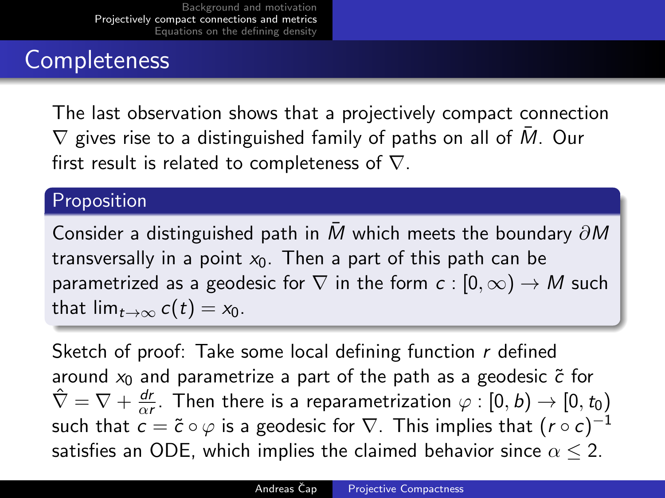## **Completeness**

The last observation shows that a projectively compact connection  $\nabla$  gives rise to a distinguished family of paths on all of  $\overline{M}$ . Our first result is related to completeness of  $\nabla$ .

#### Proposition

Consider a distinguished path in M which meets the boundary  $\partial M$ transversally in a point  $x_0$ . Then a part of this path can be parametrized as a geodesic for  $\nabla$  in the form  $c : [0, \infty) \to M$  such that  $\lim_{t\to\infty} c(t) = x_0$ .

Sketch of proof: Take some local defining function  $r$  defined around  $x_0$  and parametrize a part of the path as a geodesic  $\tilde{c}$  for  $\hat{\nabla} = \nabla + \frac{dr}{dt}$  $\frac{dr}{\alpha r}$ . Then there is a reparametrization  $\varphi:[0,b)\to[0,t_0)$ such that  $\overset{\sim}{c}=\widetilde{c}\circ \varphi$  is a geodesic for  $\nabla.$  This implies that  $(r\circ c)^{-1}$ satisfies an ODE, which implies the claimed behavior since  $\alpha \leq 2$ .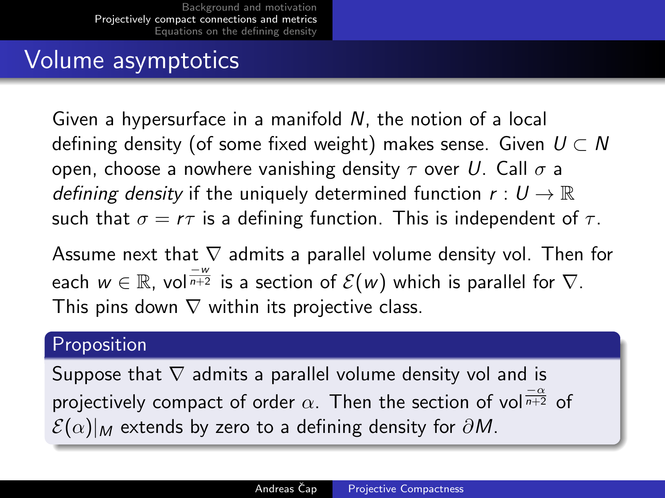### Volume asymptotics

Given a hypersurface in a manifold N, the notion of a local defining density (of some fixed weight) makes sense. Given  $U \subset N$ open, choose a nowhere vanishing density  $\tau$  over U. Call  $\sigma$  a *defining density* if the uniquely determined function  $r: U \to \mathbb{R}$ such that  $\sigma = r\tau$  is a defining function. This is independent of  $\tau$ .

Assume next that  $\nabla$  admits a parallel volume density vol. Then for each  $w\in\mathbb{R}$ , vol $\frac{-w}{n+2}$  is a section of  $\mathcal{E}(w)$  which is parallel for  $\nabla.$ This pins down  $\nabla$  within its projective class.

#### Proposition

Suppose that  $\nabla$  admits a parallel volume density vol and is projectively compact of order  $\alpha.$  Then the section of vol $\frac{-\alpha}{n+2}$  of  $\mathcal{E}(\alpha)|_M$  extends by zero to a defining density for  $\partial M$ .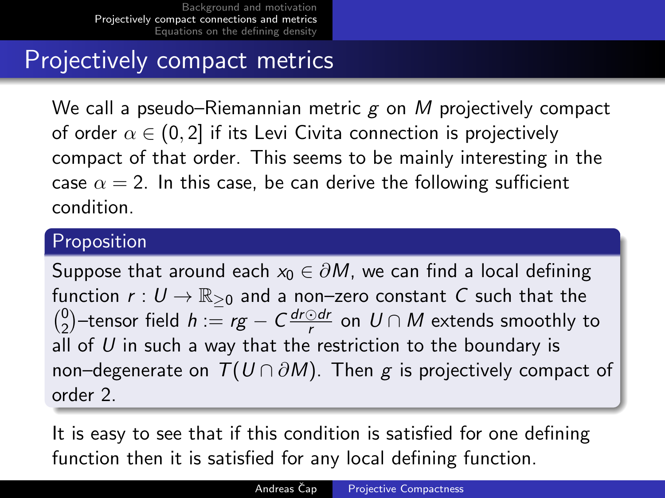### Projectively compact metrics

We call a pseudo–Riemannian metric  $g$  on  $M$  projectively compact of order  $\alpha \in (0, 2]$  if its Levi Civita connection is projectively compact of that order. This seems to be mainly interesting in the case  $\alpha = 2$ . In this case, be can derive the following sufficient condition.

#### Proposition

Suppose that around each  $x_0 \in \partial M$ , we can find a local defining function  $r: U \to \mathbb{R}_{\geq 0}$  and a non–zero constant C such that the  $\binom{0}{2}$ <sup>0</sup><sub>2</sub>)−tensor field *h* : $=$  *rg* − *C*  $\frac{dr \odot dr}{r}$  $\frac{C \cdot d\mathcal{U}}{r}$  on  $U \cap M$  extends smoothly to all of  $U$  in such a way that the restriction to the boundary is non–degenerate on  $T(U \cap \partial M)$ . Then g is projectively compact of order 2.

It is easy to see that if this condition is satisfied for one defining function then it is satisfied for any local defining function.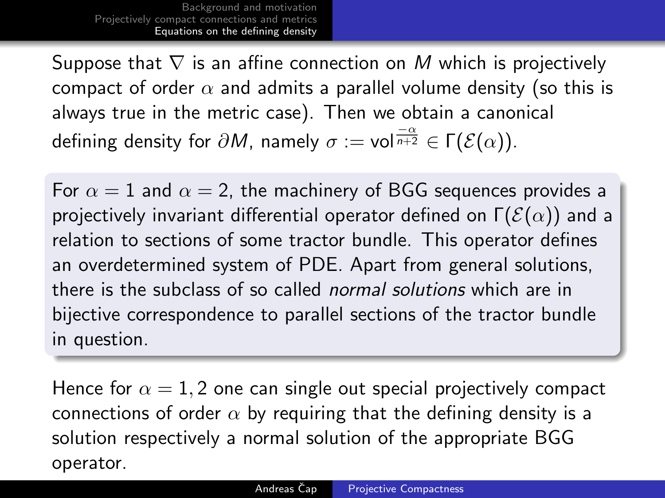Suppose that  $\nabla$  is an affine connection on M which is projectively compact of order  $\alpha$  and admits a parallel volume density (so this is always true in the metric case). Then we obtain a canonical defining density for  $\partial M$ , namely  $\sigma:=$  vol $\frac{-\alpha}{n+2}\in \Gamma(\mathcal{E}(\alpha)).$ 

For  $\alpha = 1$  and  $\alpha = 2$ , the machinery of BGG sequences provides a projectively invariant differential operator defined on  $\Gamma(\mathcal{E}(\alpha))$  and a relation to sections of some tractor bundle. This operator defines an overdetermined system of PDE. Apart from general solutions, there is the subclass of so called normal solutions which are in bijective correspondence to parallel sections of the tractor bundle in question.

<span id="page-11-0"></span>Hence for  $\alpha = 1, 2$  one can single out special projectively compact connections of order  $\alpha$  by requiring that the defining density is a solution respectively a normal solution of the appropriate BGG operator.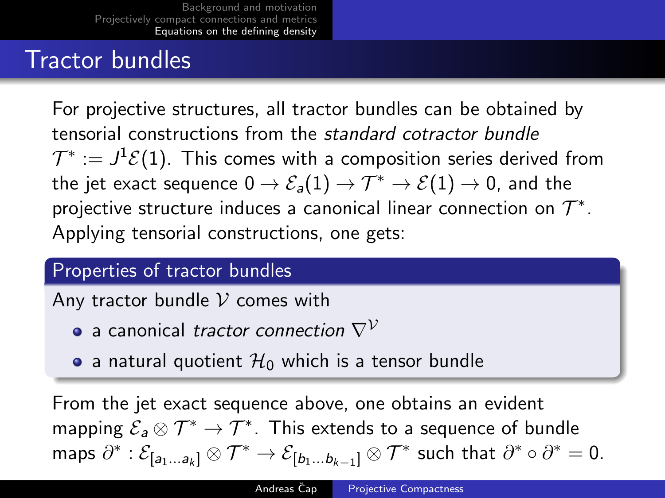### Tractor bundles

For projective structures, all tractor bundles can be obtained by tensorial constructions from the standard cotractor bundle  $\mathcal{T}^*:=J^1\mathcal{E}(1).$  This comes with a composition series derived from the jet exact sequence  $0 \to \mathcal{E}_a(1) \to \mathcal{T}^* \to \mathcal{E}(1) \to 0$ , and the projective structure induces a canonical linear connection on  $\mathcal{T}^*.$ Applying tensorial constructions, one gets:

#### Properties of tractor bundles

Any tractor bundle  $\mathcal V$  comes with

- a canonical tractor connection  $\nabla^{\mathcal{V}}$
- a natural quotient  $\mathcal{H}_0$  which is a tensor bundle

From the jet exact sequence above, one obtains an evident mapping  $\mathcal{E}_{\mathsf{a}} \otimes \mathcal{T}^* \to \mathcal{T}^*.$  This extends to a sequence of bundle maps  $\partial^*:\mathcal{E}_{[a_1...a_k]} \otimes \mathcal{T}^* \to \mathcal{E}_{[b_1...b_{k-1}]} \otimes \mathcal{T}^*$  such that  $\partial^* \circ \partial^* = 0$ .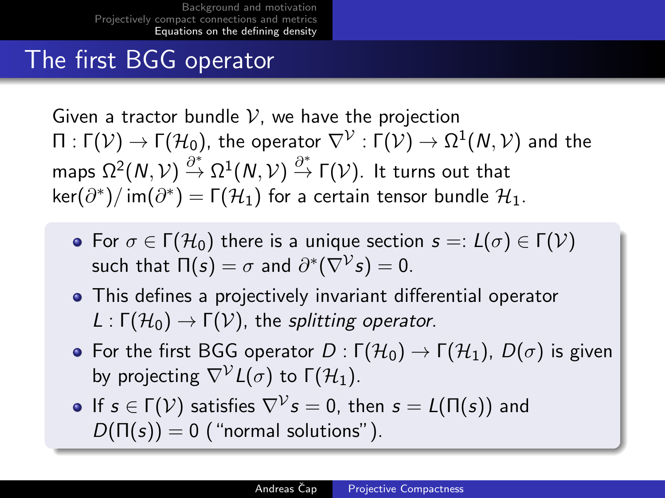#### The first BGG operator

Given a tractor bundle  $V$ , we have the projection  $\Pi:\Gamma({\cal V})\to \Gamma({\cal H}_0),$  the operator  $\nabla^{\cal V}:\Gamma({\cal V})\to \Omega^1({\cal N},{\cal V})$  and the maps  $\Omega^2(N,\mathcal{V})\stackrel{\partial^*}{\to}\Omega^1(N,\mathcal{V})\stackrel{\partial^*}{\to}\mathsf{\Gamma}(\mathcal{V}).$  It turns out that  $\ker(\partial^*)/$  im $(\partial^*)$   $=$  Γ $(\mathcal{H}_1)$  for a certain tensor bundle  $\mathcal{H}_1$ .

- **•** For  $\sigma \in \Gamma(\mathcal{H}_0)$  there is a unique section  $s =: L(\sigma) \in \Gamma(\mathcal{V})$ such that  $\Pi(s)=\sigma$  and  $\partial^*(\nabla^\mathcal{V} s)=0.$
- This defines a projectively invariant differential operator  $L : \Gamma(\mathcal{H}_0) \to \Gamma(\mathcal{V})$ , the splitting operator.
- **•** For the first BGG operator  $D : \Gamma(H_0) \to \Gamma(H_1)$ ,  $D(\sigma)$  is given by projecting  $\nabla^{\mathcal{V}}L(\sigma)$  to  $\Gamma(\mathcal{H}_1)$ .
- If  $s\in\Gamma(\mathcal{V})$  satisfies  $\nabla^\mathcal{V}s=0$ , then  $s=L(\Pi(s))$  and  $D(\Pi(s)) = 0$  ("normal solutions").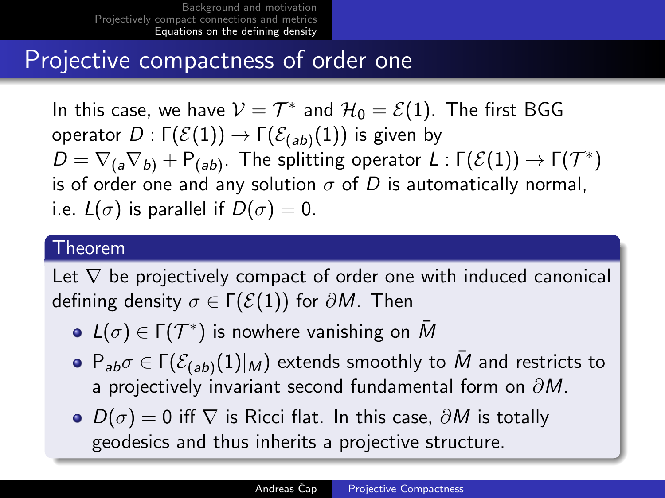#### Projective compactness of order one

In this case, we have  $\mathcal{V} = \mathcal{T}^*$  and  $\mathcal{H}_0 = \mathcal{E}(1)$ . The first BGG operator  $D:\Gamma(\mathcal{E}(1))\rightarrow \Gamma(\mathcal{E}_{(ab)}(1))$  is given by  $D = \nabla_{(a} \nabla_{b)} + \mathsf{P}_{(ab)}$ . The splitting operator  $L$  :  $\Gamma(\mathcal{E}(1)) \to \Gamma(\mathcal{T}^*)$ is of order one and any solution  $\sigma$  of D is automatically normal, i.e.  $L(\sigma)$  is parallel if  $D(\sigma) = 0$ .

#### Theorem

Let  $\nabla$  be projectively compact of order one with induced canonical defining density  $\sigma \in \Gamma(\mathcal{E}(1))$  for  $\partial M$ . Then

- $L(\sigma) \in \Gamma(\mathcal{T}^*)$  is nowhere vanishing on  $\bar{M}$
- $\mathsf{P}_{\mathsf{a}\mathsf{b}\mathsf{a}\mathsf{b}} \in \mathsf{\Gamma}(\mathcal{E}_{(\mathsf{a}\mathsf{b})}(1)|_{M})$  extends smoothly to  $\bar{M}$  and restricts to a projectively invariant second fundamental form on  $\partial M$ .
- $\bullet$   $D(\sigma) = 0$  iff  $\nabla$  is Ricci flat. In this case,  $\partial M$  is totally geodesics and thus inherits a projective structure.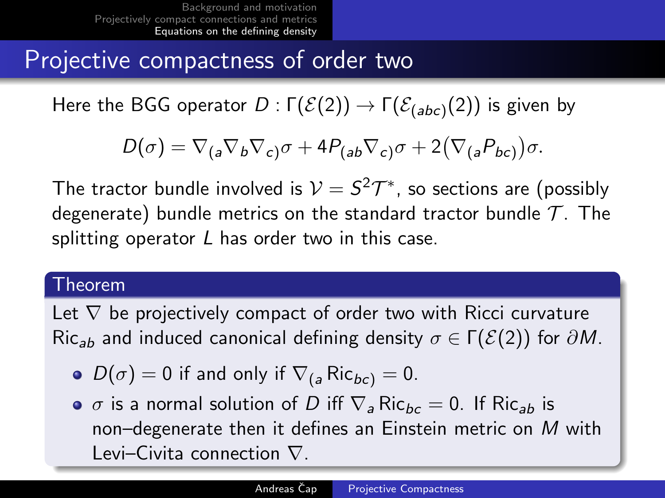### Projective compactness of order two

Here the BGG operator  $D:\Gamma(\mathcal{E}(2))\rightarrow \Gamma(\mathcal{E}_{(abc)}(2))$  is given by

$$
D(\sigma) = \nabla_{(a}\nabla_b\nabla_c)\sigma + 4P_{(ab}\nabla_c)\sigma + 2(\nabla_{(a}P_{bc)})\sigma.
$$

The tractor bundle involved is  $\mathcal{V}=S^2\mathcal{T}^*$ , so sections are (possibly degenerate) bundle metrics on the standard tractor bundle  $\mathcal{T}$ . The splitting operator  $L$  has order two in this case.

#### Theorem

Let  $\nabla$  be projectively compact of order two with Ricci curvature Ric<sub>ab</sub> and induced canonical defining density  $\sigma \in \Gamma(\mathcal{E}(2))$  for  $\partial M$ .

- $D(\sigma) = 0$  if and only if  $\nabla_{(a} Ric_{bc)} = 0$ .
- $\bullet$   $\sigma$  is a normal solution of D iff  $\nabla$ <sub>a</sub> Ric<sub>bc</sub> = 0. If Ric<sub>ab</sub> is non–degenerate then it defines an Einstein metric on M with Levi–Civita connection ∇.